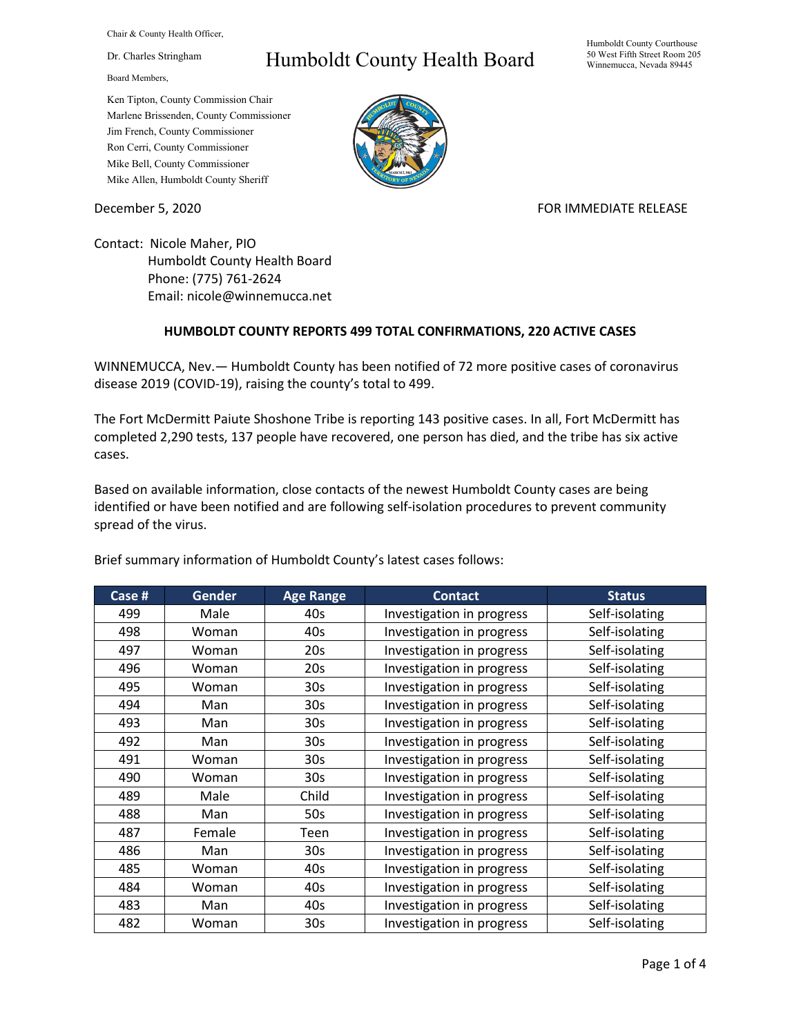Chair & County Health Officer,

Dr. Charles Stringham

Board Members,

## Humboldt County Health Board

Humboldt County Courthouse 50 West Fifth Street Room 205 Winnemucca, Nevada 89445

Ken Tipton, County Commission Chair Marlene Brissenden, County Commissioner Jim French, County Commissioner Ron Cerri, County Commissioner Mike Bell, County Commissioner Mike Allen, Humboldt County Sheriff

December 5, 2020 **FOR IMMEDIATE RELEASE** 

Contact: Nicole Maher, PIO Humboldt County Health Board Phone: (775) 761-2624 Email: nicole@winnemucca.net

## **HUMBOLDT COUNTY REPORTS 499 TOTAL CONFIRMATIONS, 220 ACTIVE CASES**

WINNEMUCCA, Nev.— Humboldt County has been notified of 72 more positive cases of coronavirus disease 2019 (COVID-19), raising the county's total to 499.

The Fort McDermitt Paiute Shoshone Tribe is reporting 143 positive cases. In all, Fort McDermitt has completed 2,290 tests, 137 people have recovered, one person has died, and the tribe has six active cases.

Based on available information, close contacts of the newest Humboldt County cases are being identified or have been notified and are following self-isolation procedures to prevent community spread of the virus.

| Case # | <b>Gender</b> | <b>Age Range</b> | <b>Contact</b>            | <b>Status</b>  |
|--------|---------------|------------------|---------------------------|----------------|
| 499    | Male          | 40s              | Investigation in progress | Self-isolating |
| 498    | Woman         | 40s              | Investigation in progress | Self-isolating |
| 497    | Woman         | 20s              | Investigation in progress | Self-isolating |
| 496    | Woman         | 20s              | Investigation in progress | Self-isolating |
| 495    | Woman         | 30s              | Investigation in progress | Self-isolating |
| 494    | Man           | 30 <sub>s</sub>  | Investigation in progress | Self-isolating |
| 493    | Man           | 30 <sub>s</sub>  | Investigation in progress | Self-isolating |
| 492    | Man           | 30 <sub>s</sub>  | Investigation in progress | Self-isolating |
| 491    | Woman         | 30s              | Investigation in progress | Self-isolating |
| 490    | Woman         | 30 <sub>s</sub>  | Investigation in progress | Self-isolating |
| 489    | Male          | Child            | Investigation in progress | Self-isolating |
| 488    | Man           | 50s              | Investigation in progress | Self-isolating |
| 487    | Female        | Teen             | Investigation in progress | Self-isolating |
| 486    | Man           | 30 <sub>s</sub>  | Investigation in progress | Self-isolating |
| 485    | Woman         | 40s              | Investigation in progress | Self-isolating |
| 484    | Woman         | 40s              | Investigation in progress | Self-isolating |
| 483    | Man           | 40s              | Investigation in progress | Self-isolating |
| 482    | Woman         | 30s              | Investigation in progress | Self-isolating |

Brief summary information of Humboldt County's latest cases follows: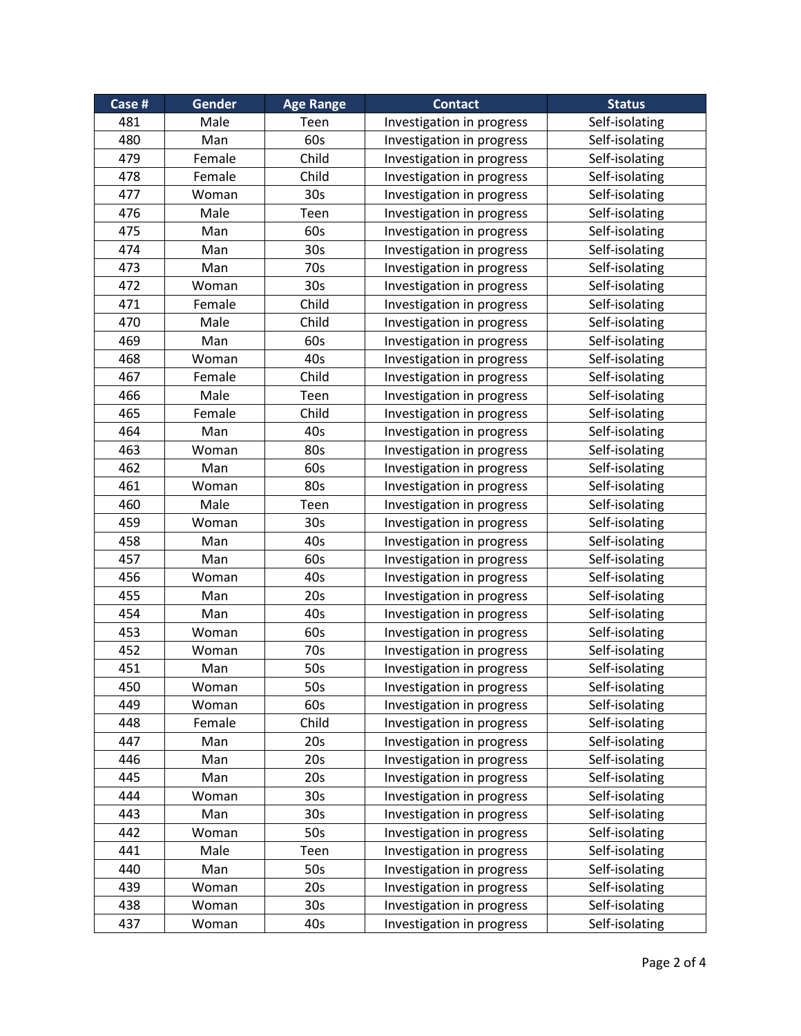| Case # | Gender | <b>Age Range</b> | <b>Contact</b>            | <b>Status</b>  |
|--------|--------|------------------|---------------------------|----------------|
| 481    | Male   | Teen             | Investigation in progress | Self-isolating |
| 480    | Man    | 60s              | Investigation in progress | Self-isolating |
| 479    | Female | Child            | Investigation in progress | Self-isolating |
| 478    | Female | Child            | Investigation in progress | Self-isolating |
| 477    | Woman  | 30 <sub>s</sub>  | Investigation in progress | Self-isolating |
| 476    | Male   | Teen             | Investigation in progress | Self-isolating |
| 475    | Man    | 60s              | Investigation in progress | Self-isolating |
| 474    | Man    | 30s              | Investigation in progress | Self-isolating |
| 473    | Man    | 70s              | Investigation in progress | Self-isolating |
| 472    | Woman  | 30 <sub>s</sub>  | Investigation in progress | Self-isolating |
| 471    | Female | Child            | Investigation in progress | Self-isolating |
| 470    | Male   | Child            | Investigation in progress | Self-isolating |
| 469    | Man    | 60s              | Investigation in progress | Self-isolating |
| 468    | Woman  | 40s              | Investigation in progress | Self-isolating |
| 467    | Female | Child            | Investigation in progress | Self-isolating |
| 466    | Male   | Teen             | Investigation in progress | Self-isolating |
| 465    | Female | Child            | Investigation in progress | Self-isolating |
| 464    | Man    | 40s              | Investigation in progress | Self-isolating |
| 463    | Woman  | 80s              | Investigation in progress | Self-isolating |
| 462    | Man    | 60s              | Investigation in progress | Self-isolating |
| 461    | Woman  | 80s              | Investigation in progress | Self-isolating |
| 460    | Male   | Teen             | Investigation in progress | Self-isolating |
| 459    | Woman  | 30 <sub>s</sub>  | Investigation in progress | Self-isolating |
| 458    | Man    | 40s              | Investigation in progress | Self-isolating |
| 457    | Man    | 60s              | Investigation in progress | Self-isolating |
| 456    | Woman  | 40s              | Investigation in progress | Self-isolating |
| 455    | Man    | 20s              | Investigation in progress | Self-isolating |
| 454    | Man    | 40s              | Investigation in progress | Self-isolating |
| 453    | Woman  | 60s              | Investigation in progress | Self-isolating |
| 452    | Woman  | 70s              | Investigation in progress | Self-isolating |
| 451    | Man    | 50s              | Investigation in progress | Self-isolating |
| 450    | Woman  | 50s              | Investigation in progress | Self-isolating |
| 449    | Woman  | 60s              | Investigation in progress | Self-isolating |
| 448    | Female | Child            | Investigation in progress | Self-isolating |
| 447    | Man    | 20s              | Investigation in progress | Self-isolating |
| 446    | Man    | 20s              | Investigation in progress | Self-isolating |
| 445    | Man    | 20 <sub>s</sub>  | Investigation in progress | Self-isolating |
| 444    | Woman  | 30 <sub>s</sub>  | Investigation in progress | Self-isolating |
| 443    | Man    | 30 <sub>s</sub>  | Investigation in progress | Self-isolating |
| 442    | Woman  | 50s              | Investigation in progress | Self-isolating |
| 441    | Male   | Teen             | Investigation in progress | Self-isolating |
| 440    | Man    | 50s              | Investigation in progress | Self-isolating |
| 439    |        | 20s              | Investigation in progress | Self-isolating |
|        | Woman  |                  |                           |                |
| 438    | Woman  | 30 <sub>s</sub>  | Investigation in progress | Self-isolating |
| 437    | Woman  | 40s              | Investigation in progress | Self-isolating |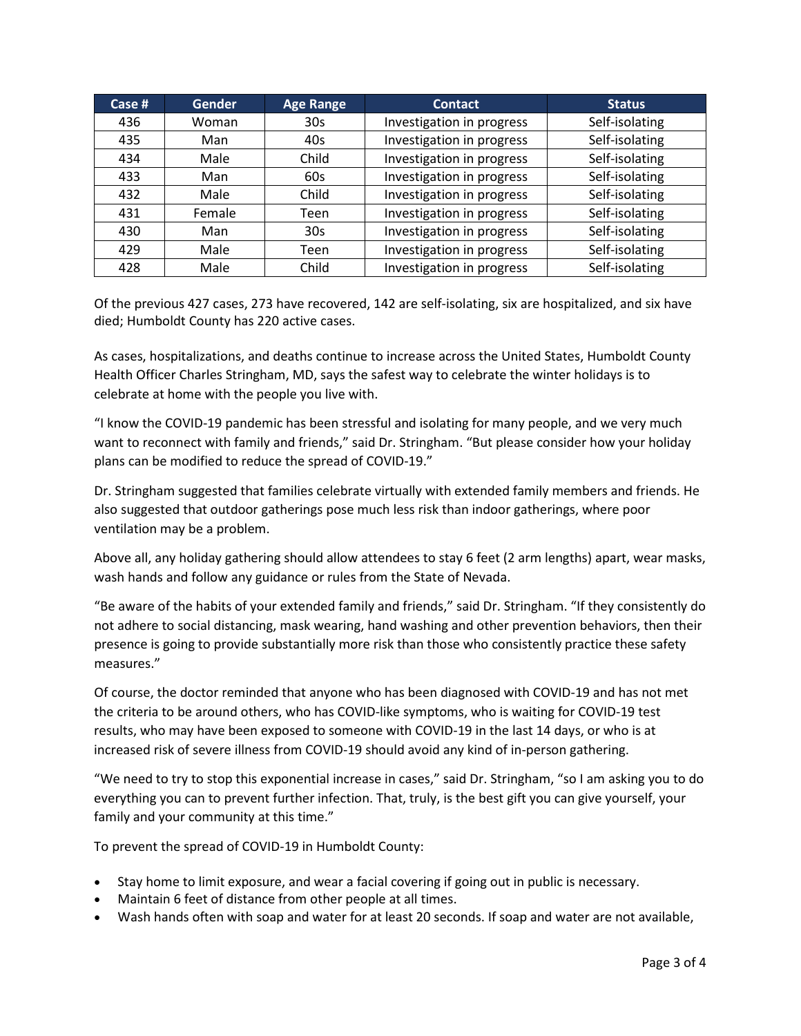| Case $#$ | <b>Gender</b> | <b>Age Range</b> | <b>Contact</b>            | <b>Status</b>  |
|----------|---------------|------------------|---------------------------|----------------|
| 436      | Woman         | 30 <sub>s</sub>  | Investigation in progress | Self-isolating |
| 435      | Man           | 40s              | Investigation in progress | Self-isolating |
| 434      | Male          | Child            | Investigation in progress | Self-isolating |
| 433      | Man           | 60s              | Investigation in progress | Self-isolating |
| 432      | Male          | Child            | Investigation in progress | Self-isolating |
| 431      | Female        | Teen             | Investigation in progress | Self-isolating |
| 430      | Man           | 30 <sub>s</sub>  | Investigation in progress | Self-isolating |
| 429      | Male          | Teen             | Investigation in progress | Self-isolating |
| 428      | Male          | Child            | Investigation in progress | Self-isolating |

Of the previous 427 cases, 273 have recovered, 142 are self-isolating, six are hospitalized, and six have died; Humboldt County has 220 active cases.

As cases, hospitalizations, and deaths continue to increase across the United States, Humboldt County Health Officer Charles Stringham, MD, says the safest way to celebrate the winter holidays is to celebrate at home with the people you live with.

"I know the COVID-19 pandemic has been stressful and isolating for many people, and we very much want to reconnect with family and friends," said Dr. Stringham. "But please consider how your holiday plans can be modified to reduce the spread of COVID-19."

Dr. Stringham suggested that families celebrate virtually with extended family members and friends. He also suggested that outdoor gatherings pose much less risk than indoor gatherings, where poor ventilation may be a problem.

Above all, any holiday gathering should allow attendees to stay 6 feet (2 arm lengths) apart, wear masks, wash hands and follow any guidance or rules from the State of Nevada.

"Be aware of the habits of your extended family and friends," said Dr. Stringham. "If they consistently do not adhere to social distancing, mask wearing, hand washing and other prevention behaviors, then their presence is going to provide substantially more risk than those who consistently practice these safety measures."

Of course, the doctor reminded that anyone who has been diagnosed with COVID-19 and has not met the criteria to be around others, who has COVID-like symptoms, who is waiting for COVID-19 test results, who may have been exposed to someone with COVID-19 in the last 14 days, or who is at increased risk of severe illness from COVID-19 should avoid any kind of in-person gathering.

"We need to try to stop this exponential increase in cases," said Dr. Stringham, "so I am asking you to do everything you can to prevent further infection. That, truly, is the best gift you can give yourself, your family and your community at this time."

To prevent the spread of COVID-19 in Humboldt County:

- Stay home to limit exposure, and wear a facial covering if going out in public is necessary.
- Maintain 6 feet of distance from other people at all times.
- Wash hands often with soap and water for at least 20 seconds. If soap and water are not available,